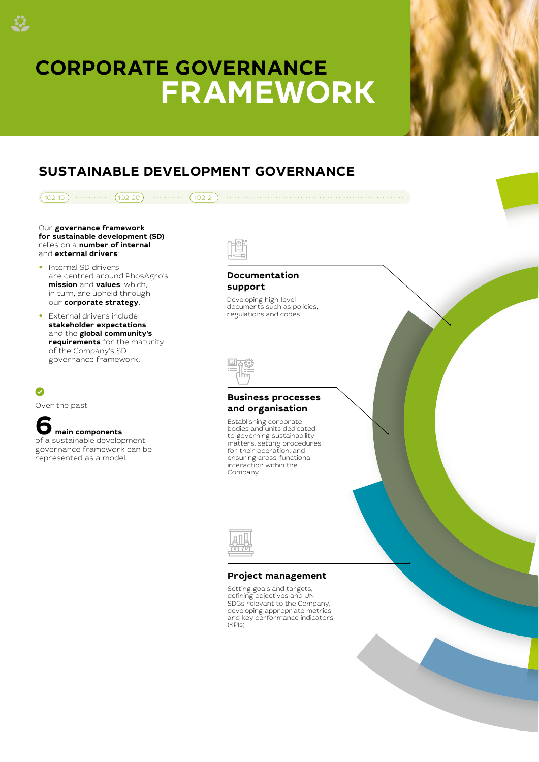# **CORPORATE GOVERNANCE FRAMEWORK**

33



## **SUSTAINABLE DEVELOPMENT GOVERNANCE**

| $102 - 19$<br>$102 - 20$<br>$102 - 21$                                                                                                                                                                                                        |                                                                                                                                                                                                                                      |
|-----------------------------------------------------------------------------------------------------------------------------------------------------------------------------------------------------------------------------------------------|--------------------------------------------------------------------------------------------------------------------------------------------------------------------------------------------------------------------------------------|
| Our governance framework<br>for sustainable development (SD)<br>relies on a number of internal<br>and external drivers:                                                                                                                       |                                                                                                                                                                                                                                      |
| • Internal SD drivers<br>are centred around PhosAgro's<br>mission and values, which,<br>in turn, are upheld through<br>our corporate strategy.<br>• External drivers include<br>stakeholder expectations<br>and the <b>global community's</b> | <b>Documentation</b><br>support<br>Developing high-level<br>documents such as policies,<br>regulations and codes                                                                                                                     |
| requirements for the maturity<br>of the Company's SD<br>governance framework.                                                                                                                                                                 |                                                                                                                                                                                                                                      |
| $\checkmark$<br>Over the past                                                                                                                                                                                                                 | <b>Business processes</b>                                                                                                                                                                                                            |
| main components<br>of a sustainable development<br>governance framework can be<br>represented as a model.                                                                                                                                     | and organisation<br>Establishing corporate<br>bodies and units dedicated<br>to governing sustainability<br>matters, setting procedures<br>for their operation, and<br>ensuring cross-functional<br>interaction within the<br>Company |
|                                                                                                                                                                                                                                               |                                                                                                                                                                                                                                      |
|                                                                                                                                                                                                                                               | <b>Project management</b><br>Setting goals and targets,                                                                                                                                                                              |
|                                                                                                                                                                                                                                               | defining objectives and UN<br>SDGs relevant to the Company,<br>developing appropriate metrics<br>and key performance indicators<br>(KPIs)                                                                                            |
|                                                                                                                                                                                                                                               |                                                                                                                                                                                                                                      |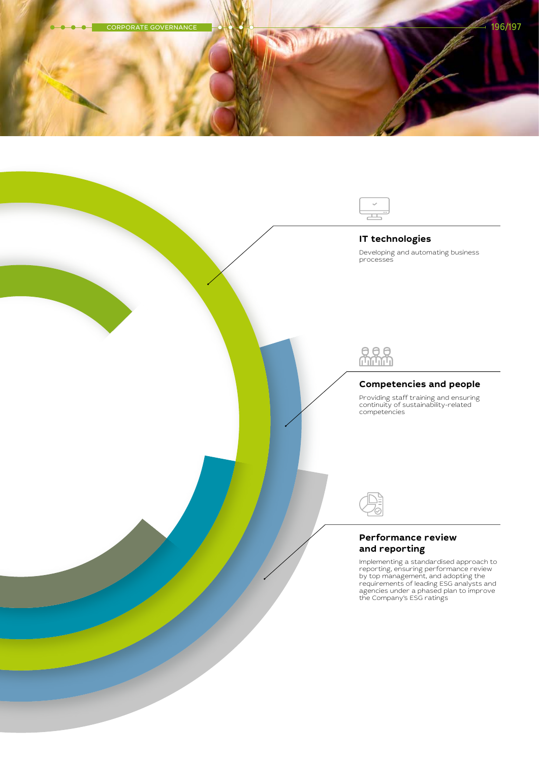

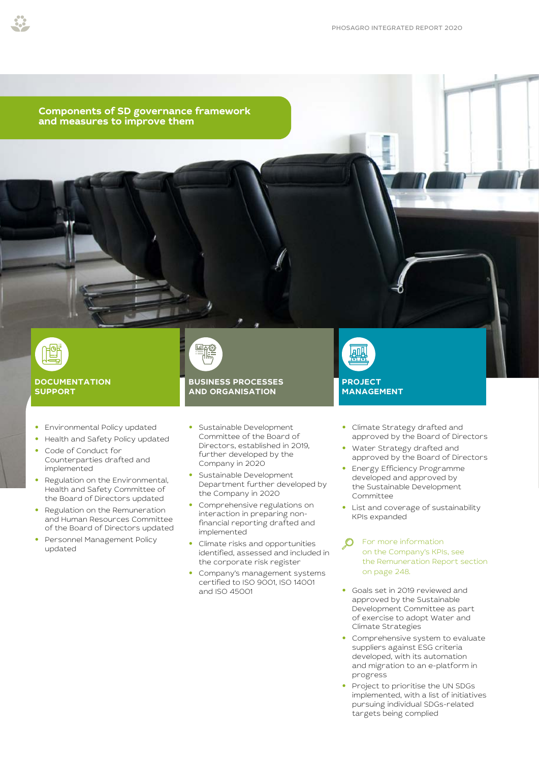**Components of SD governance framework and measures to improve them**



### **DOCUMENTATION SUPPORT**

- **•** Environmental Policy updated
- **•** Health and Safety Policy updated
- **•** Code of Conduct for Counterparties drafted and implemented
- **•** Regulation on the Environmental, Health and Safety Committee of the Board of Directors updated
- **•** Regulation on the Remuneration and Human Resources Committee of the Board of Directors updated
- **•** Personnel Management Policy updated



## **BUSINESS PROCESSES AND ORGANISATION**

- **•** Sustainable Development Committee of the Board of Directors, established in 2019, further developed by the Company in 2020
- **•** Sustainable Development Department further developed by the Company in 2020
- **•** Comprehensive regulations on interaction in preparing nonfinancial reporting drafted and implemented
- **•** Climate risks and opportunities identified, assessed and included in the corporate risk register
- **•** Company's management systems certified to ISO 9001, ISO 14001 and ISO 45001



- **•** Climate Strategy drafted and approved by the Board of Directors
- **•** Water Strategy drafted and approved by the Board of Directors
- **•** Energy Efficiency Programme developed and approved by the Sustainable Development Committee
- **•** List and coverage of sustainability KPIs expanded
- [For more information](#page--1-0)   $\mathcal{O}$ [on the Company's KPIs, see](#page--1-0)  [the Remuneration Report section](#page--1-0)  [on page 248.](#page--1-0)
- **•** Goals set in 2019 reviewed and approved by the Sustainable Development Committee as part of exercise to adopt Water and Climate Strategies
- **•** Comprehensive system to evaluate suppliers against ESG criteria developed, with its automation and migration to an e-platform in progress
- **•** Project to prioritise the UN SDGs implemented, with a list of initiatives pursuing individual SDGs-related targets being complied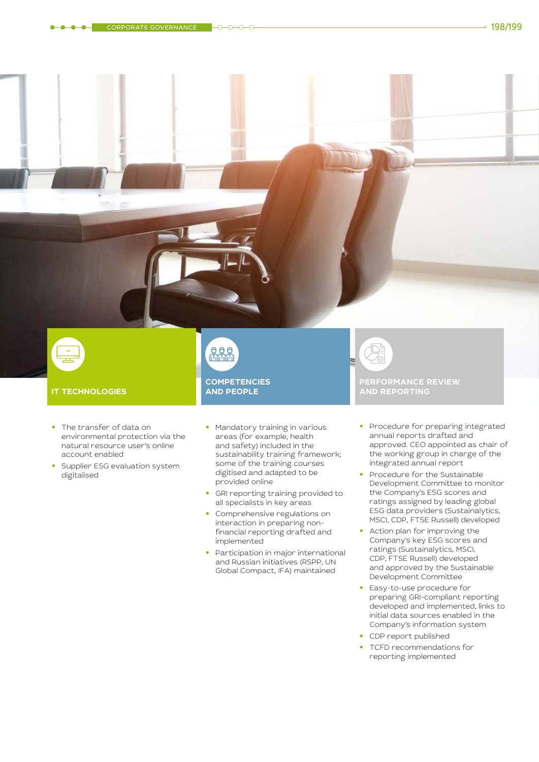

#### **IT TECHNOLOGIES**

- **•** The transfer of data on environmental protection via the natural resource user's online account enabled
- **•** Supplier ESG evaluation system digitalised

 $688$ **COMPETENCIES AND PEOPLE** 

- **•** Mandatory training in various areas (for example, health and safety) included in the sustainability training framework; some of the training courses digitised and adapted to be provided online
- **•** GRI reporting training provided to all specialists in key areas
- **•** Comprehensive regulations on interaction in preparing nonfinancial reporting drafted and implemented
- **•** Participation in major international and Russian initiatives (RSPP, UN Global Compact, IFA) maintained

B **PERFORMANCE REVIEW AND REPORTING** 

- **•** Procedure for preparing integrated annual reports drafted and approved. CEO appointed as chair of the working group in charge of the integrated annual report
- **•** Procedure for the Sustainable Development Committee to monitor the Company's ESG scores and ratings assigned by leading global ESG data providers (Sustainalytics, MSCI, CDP, FTSE Russell) developed
- **•** Action plan for improving the Company's key ESG scores and ratings (Sustainalytics, MSCI, CDP, FTSE Russell) developed and approved by the Sustainable Development Committee
- **•** Easy-to-use procedure for preparing GRI-compliant reporting developed and implemented, links to initial data sources enabled in the Company's information system
- **•** CDP report published
	- **•** TCFD recommendations for reporting implemented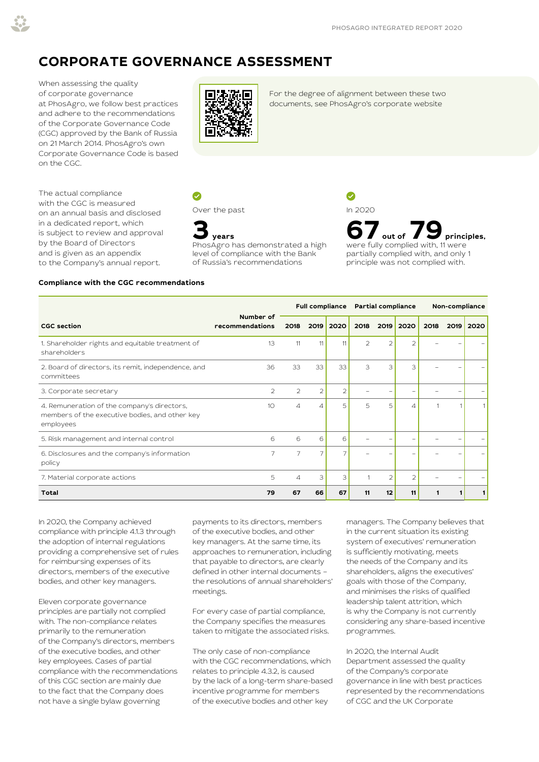## **CORPORATE GOVERNANCE ASSESSMENT**

When assessing the quality of corporate governance at PhosAgro, we follow best practices and adhere to the recommendations of the Corporate Governance Code (CGC) approved by the Bank of Russia on 21 March 2014. PhosAgro's own Corporate Governance Code is based on the CGC.

The actual compliance with the CGC is measured on an annual basis and disclosed in a dedicated report, which is subject to review and approval by the Board of Directors and is given as an appendix to the Company's annual report.



[For the degree of alignment between these two](https://www.phosagro.com/sustainability/corporate-governance/)  documents, see PhosAgro's corporate website

 $\bullet$ 

Over the past



**3 years** PhosAgro has demonstrated a high level of compliance with the Bank of Russia's recommendations

In 2020 **67** out of **79** principles, were fully complied with, 11 were partially complied with, and only 1

principle was not complied with.

#### **Compliance with the CGC recommendations**

|                                                                                                            |                              |      |                |                | Full compliance Partial compliance |                |                | Non-compliance |  |           |
|------------------------------------------------------------------------------------------------------------|------------------------------|------|----------------|----------------|------------------------------------|----------------|----------------|----------------|--|-----------|
| <b>CGC</b> section                                                                                         | Number of<br>recommendations | 2018 |                | 2019 2020      | 2018                               | 2019           | 2020           | 2018           |  | 2019 2020 |
| 1. Shareholder rights and equitable treatment of<br>shareholders                                           | 13                           | 11   | 11             | 11             | $\overline{2}$                     | $\overline{2}$ | $\overline{2}$ |                |  |           |
| 2. Board of directors, its remit, independence, and<br>committees                                          | 36                           | 33   | 33             | 33             | 3                                  | 3              | 3              |                |  |           |
| 3. Corporate secretary                                                                                     | $\mathcal{P}$                | 2    | $\overline{2}$ | $\overline{2}$ |                                    |                |                |                |  |           |
| 4. Remuneration of the company's directors,<br>members of the executive bodies, and other key<br>employees | 10                           | 4    | ⊿              | 5              | 5                                  | 5              | $\Delta$       |                |  |           |
| 5. Risk management and internal control                                                                    | 6                            | 6    | 6              | 6              |                                    |                |                |                |  |           |
| 6. Disclosures and the company's information<br>policy                                                     | 7                            | 7    | $\overline{7}$ | 7              |                                    |                |                |                |  |           |
| 7. Material corporate actions                                                                              | 5                            | 4    | 3              | 3              |                                    | $\overline{2}$ | $\overline{a}$ |                |  |           |
| Total                                                                                                      | 79                           | 67   | 66             | 67             | 11                                 | 12             | 11             | 1              |  |           |

In 2020, the Company achieved compliance with principle 4.1.3 through the adoption of internal regulations providing a comprehensive set of rules for reimbursing expenses of its directors, members of the executive bodies, and other key managers.

Eleven corporate governance principles are partially not complied with. The non-compliance relates primarily to the remuneration of the Company's directors, members of the executive bodies, and other key employees. Cases of partial compliance with the recommendations of this CGC section are mainly due to the fact that the Company does not have a single bylaw governing

payments to its directors, members of the executive bodies, and other key managers. At the same time, its approaches to remuneration, including that payable to directors, are clearly defined in other internal documents – the resolutions of annual shareholders' meetings.

For every case of partial compliance, the Company specifies the measures taken to mitigate the associated risks.

The only case of non-compliance with the CGC recommendations, which relates to principle 4.3.2, is caused by the lack of a long-term share-based incentive programme for members of the executive bodies and other key

managers. The Company believes that in the current situation its existing system of executives' remuneration is sufficiently motivating, meets the needs of the Company and its shareholders, aligns the executives' goals with those of the Company, and minimises the risks of qualified leadership talent attrition, which is why the Company is not currently considering any share-based incentive programmes.

In 2020, the Internal Audit Department assessed the quality of the Company's corporate governance in line with best practices represented by the recommendations of CGC and the UK Corporate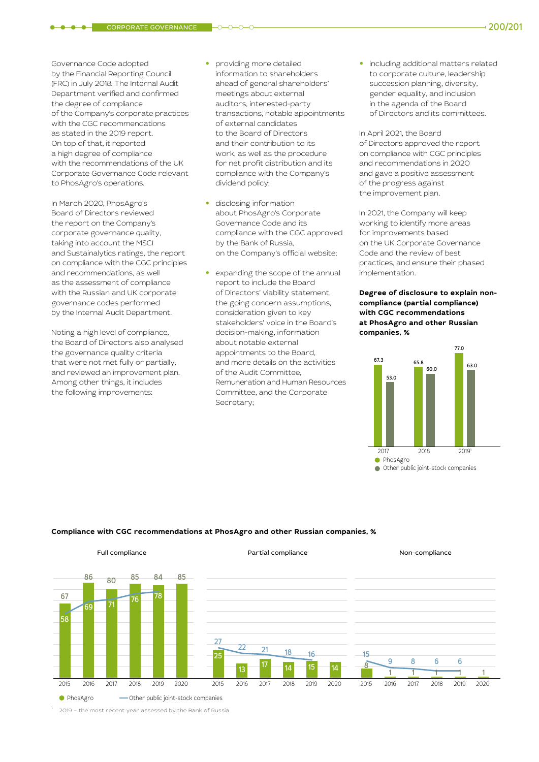CORPORATE GOVERNANCE 200/201

Governance Code adopted by the Financial Reporting Council (FRC) in July 2018. The Internal Audit Department verified and confirmed the degree of compliance of the Company's corporate practices with the CGC recommendations as stated in the 2019 report. On top of that, it reported a high degree of compliance with the recommendations of the UK Corporate Governance Code relevant to PhosAgro's operations.

In March 2020, PhosAgro's Board of Directors reviewed the report on the Company's corporate governance quality, taking into account the MSCI and Sustainalytics ratings, the report on compliance with the CGC principles and recommendations, as well as the assessment of compliance with the Russian and UK corporate governance codes performed by the Internal Audit Department.

Noting a high level of compliance, the Board of Directors also analysed the governance quality criteria that were not met fully or partially, and reviewed an improvement plan. Among other things, it includes the following improvements:

- **•** providing more detailed information to shareholders ahead of general shareholders' meetings about external auditors, interested-party transactions, notable appointments of external candidates to the Board of Directors and their contribution to its work, as well as the procedure for net profit distribution and its compliance with the Company's dividend policy;
- **•** disclosing information about PhosAgro's Corporate Governance Code and its compliance with the CGC approved by the Bank of Russia, on the Company's official website;
- **•** expanding the scope of the annual report to include the Board of Directors' viability statement, the going concern assumptions, consideration given to key stakeholders' voice in the Board's decision-making, information about notable external appointments to the Board, and more details on the activities of the Audit Committee, Remuneration and Human Resources Committee, and the Corporate Secretary;

**•** including additional matters related to corporate culture, leadership succession planning, diversity, gender equality, and inclusion in the agenda of the Board of Directors and its committees.

In April 2021, the Board of Directors approved the report on compliance with CGC principles and recommendations in 2020 and gave a positive assessment of the progress against the improvement plan.

In 2021, the Company will keep working to identify more areas for improvements based on the UK Corporate Governance Code and the review of best practices, and ensure their phased implementation.

**Degree of disclosure to explain noncompliance (partial compliance) with CGC recommendations at PhosAgro and other Russian companies, %**



### **Compliance with CGC recommendations at PhosAgro and other Russian companies, %**



2019 - the most recent year assessed by the Bank of Russia